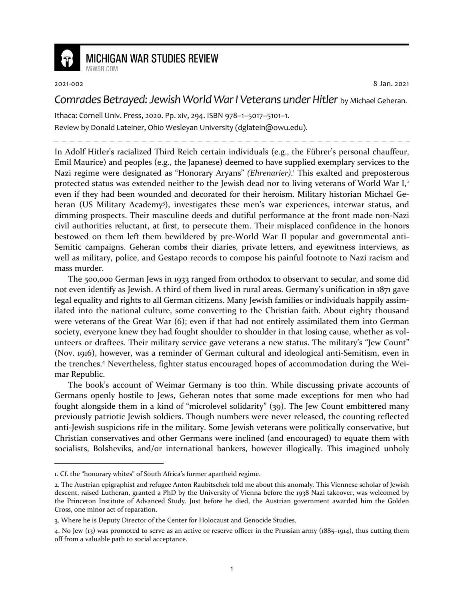

## **MICHIGAN WAR STUDIES REVIEW**

MiWSR COM

2021-002 8 Jan. 2021

## *Comrades Betrayed: Jewish World War I Veterans under Hitler* by Michael Geheran.

Ithaca: Cornell Univ. Press, 2020. Pp. xiv, 294. ISBN 978–1–5017–5101–1. Review by Donald Lateiner, Ohio Wesleyan University (dglatein@owu.edu).

In Adolf Hitler's racialized Third Reich certain individuals (e.g., the Führer's personal chauffeur, Emil Maurice) and peoples (e.g., the Japanese) deemed to have supplied exemplary services to the Nazi regime were designated as "Honorary Aryans" *(Ehrenarier)*. 1 This exalted and preposterous protected status was extended neither to the Jewish dead nor to living veterans of World War I,<sup>2</sup> even if they had been wounded and decorated for their heroism. Military historian Michael Geheran (US Military Academy<sup>3</sup>), investigates these men's war experiences, interwar status, and dimming prospects. Their masculine deeds and dutiful performance at the front made non-Nazi civil authorities reluctant, at first, to persecute them. Their misplaced confidence in the honors bestowed on them left them bewildered by pre-World War II popular and governmental anti-Semitic campaigns. Geheran combs their diaries, private letters, and eyewitness interviews, as well as military, police, and Gestapo records to compose his painful footnote to Nazi racism and mass murder.

The 500,000 German Jews in 1933 ranged from orthodox to observant to secular, and some did not even identify as Jewish. A third of them lived in rural areas. Germany's unification in 1871 gave legal equality and rights to all German citizens. Many Jewish families or individuals happily assimilated into the national culture, some converting to the Christian faith. About eighty thousand were veterans of the Great War (6); even if that had not entirely assimilated them into German society, everyone knew they had fought shoulder to shoulder in that losing cause, whether as volunteers or draftees. Their military service gave veterans a new status. The military's "Jew Count" (Nov. 1916), however, was a reminder of German cultural and ideological anti-Semitism, even in the trenches.<sup>4</sup> Nevertheless, fighter status encouraged hopes of accommodation during the Weimar Republic.

The book's account of Weimar Germany is too thin. While discussing private accounts of Germans openly hostile to Jews, Geheran notes that some made exceptions for men who had fought alongside them in a kind of "microlevel solidarity" (39). The Jew Count embittered many previously patriotic Jewish soldiers. Though numbers were never released, the counting reflected anti-Jewish suspicions rife in the military. Some Jewish veterans were politically conservative, but Christian conservatives and other Germans were inclined (and encouraged) to equate them with socialists, Bolsheviks, and/or international bankers, however illogically. This imagined unholy

<sup>1.</sup> Cf. the "honorary whites" of South Africa's former apartheid regime.

<sup>2.</sup> The Austrian epigraphist and refugee Anton Raubitschek told me about this anomaly. This Viennese scholar of Jewish descent, raised Lutheran, granted a PhD by the University of Vienna before the 1938 Nazi takeover, was welcomed by the Princeton Institute of Advanced Study. Just before he died, the Austrian government awarded him the Golden Cross, one minor act of reparation.

<sup>3.</sup> Where he is Deputy Director of the Center for Holocaust and Genocide Studies.

<sup>4.</sup> No Jew (13) was promoted to serve as an active or reserve officer in the Prussian army (1885–1914), thus cutting them off from a valuable path to social acceptance.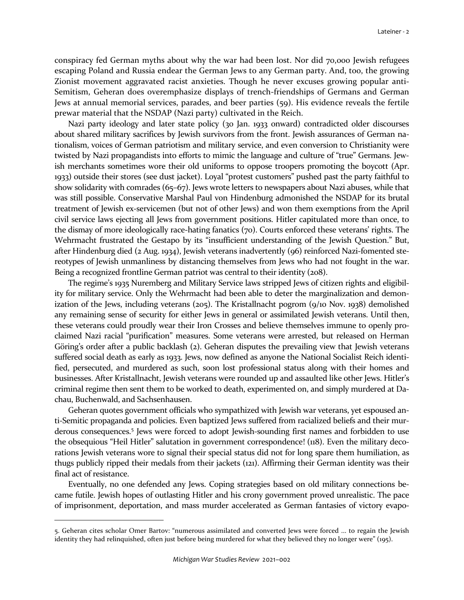conspiracy fed German myths about why the war had been lost. Nor did 70,000 Jewish refugees escaping Poland and Russia endear the German Jews to any German party. And, too, the growing Zionist movement aggravated racist anxieties. Though he never excuses growing popular anti-Semitism, Geheran does overemphasize displays of trench-friendships of Germans and German Jews at annual memorial services, parades, and beer parties (59). His evidence reveals the fertile prewar material that the NSDAP (Nazi party) cultivated in the Reich.

Nazi party ideology and later state policy (30 Jan. 1933 onward) contradicted older discourses about shared military sacrifices by Jewish survivors from the front. Jewish assurances of German nationalism, voices of German patriotism and military service, and even conversion to Christianity were twisted by Nazi propagandists into efforts to mimic the language and culture of "true" Germans. Jewish merchants sometimes wore their old uniforms to oppose troopers promoting the boycott (Apr. 1933) outside their stores (see dust jacket). Loyal "protest customers" pushed past the party faithful to show solidarity with comrades (65–67). Jews wrote letters to newspapers about Nazi abuses, while that was still possible. Conservative Marshal Paul von Hindenburg admonished the NSDAP for its brutal treatment of Jewish ex-servicemen (but not of other Jews) and won them exemptions from the April civil service laws ejecting all Jews from government positions. Hitler capitulated more than once, to the dismay of more ideologically race-hating fanatics (70). Courts enforced these veterans' rights. The Wehrmacht frustrated the Gestapo by its "insufficient understanding of the Jewish Question." But, after Hindenburg died (2 Aug. 1934), Jewish veterans inadvertently (96) reinforced Nazi-fomented stereotypes of Jewish unmanliness by distancing themselves from Jews who had not fought in the war. Being a recognized frontline German patriot was central to their identity (208).

The regime's 1935 Nuremberg and Military Service laws stripped Jews of citizen rights and eligibility for military service. Only the Wehrmacht had been able to deter the marginalization and demonization of the Jews, including veterans (205). The Kristallnacht pogrom (9/10 Nov. 1938) demolished any remaining sense of security for either Jews in general or assimilated Jewish veterans. Until then, these veterans could proudly wear their Iron Crosses and believe themselves immune to openly proclaimed Nazi racial "purification" measures. Some veterans were arrested, but released on Herman Göring's order after a public backlash (2). Geheran disputes the prevailing view that Jewish veterans suffered social death as early as 1933. Jews, now defined as anyone the National Socialist Reich identified, persecuted, and murdered as such, soon lost professional status along with their homes and businesses. After Kristallnacht, Jewish veterans were rounded up and assaulted like other Jews. Hitler's criminal regime then sent them to be worked to death, experimented on, and simply murdered at Dachau, Buchenwald, and Sachsenhausen.

Geheran quotes government officials who sympathized with Jewish war veterans, yet espoused anti-Semitic propaganda and policies. Even baptized Jews suffered from racialized beliefs and their murderous consequences.<sup>5</sup> Jews were forced to adopt Jewish-sounding first names and forbidden to use the obsequious "Heil Hitler" salutation in government correspondence! (118). Even the military decorations Jewish veterans wore to signal their special status did not for long spare them humiliation, as thugs publicly ripped their medals from their jackets (121). Affirming their German identity was their final act of resistance.

Eventually, no one defended any Jews. Coping strategies based on old military connections became futile. Jewish hopes of outlasting Hitler and his crony government proved unrealistic. The pace of imprisonment, deportation, and mass murder accelerated as German fantasies of victory evapo-

<sup>5.</sup> Geheran cites scholar Omer Bartov: "numerous assimilated and converted Jews were forced ... to regain the Jewish identity they had relinquished, often just before being murdered for what they believed they no longer were" (195).